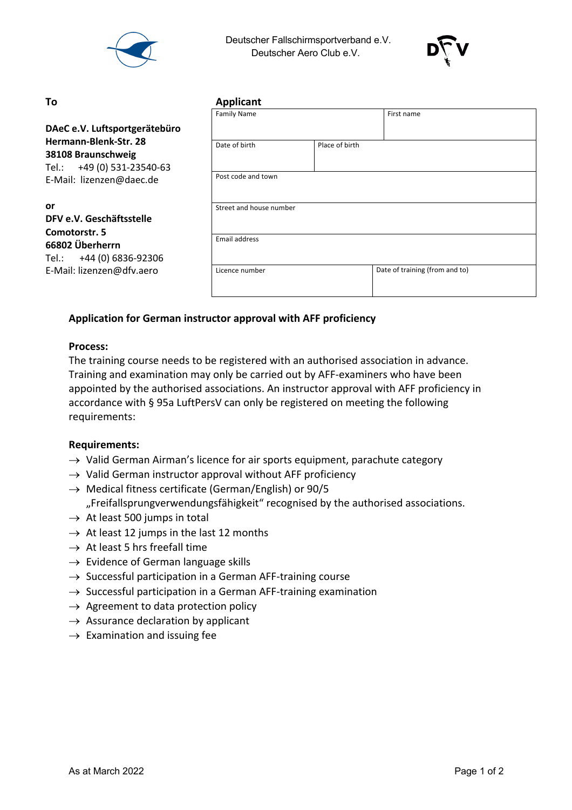

 Deutscher Fallschirmsportverband e.V. Deutscher Aero Club e.V.



#### **or DFV e.V. Geschäftsstelle Comotorstr. 5**

| To                                                                        | <b>Applicant</b>        |                |                                |  |
|---------------------------------------------------------------------------|-------------------------|----------------|--------------------------------|--|
|                                                                           | <b>Family Name</b>      |                | First name                     |  |
| DAeC e.V. Luftsportgerätebüro                                             |                         |                |                                |  |
| Hermann-Blenk-Str. 28<br>38108 Braunschweig<br>Tel.: +49 (0) 531-23540-63 | Date of birth           | Place of birth |                                |  |
| E-Mail: lizenzen@daec.de                                                  | Post code and town      |                |                                |  |
| or<br>DFV e.V. Geschäftsstelle<br>Comotorstr. 5                           | Street and house number |                |                                |  |
| 66802 Überherrn<br>Tel.: +44 (0) 6836-92306                               | <b>Email address</b>    |                |                                |  |
| E-Mail: lizenzen@dfv.aero                                                 | Licence number          |                | Date of training (from and to) |  |

# **Application for German instructor approval with AFF proficiency**

# **Process:**

The training course needs to be registered with an authorised association in advance. Training and examination may only be carried out by AFF-examiners who have been appointed by the authorised associations. An instructor approval with AFF proficiency in accordance with § 95a LuftPersV can only be registered on meeting the following requirements:

# **Requirements:**

- $\rightarrow$  Valid German Airman's licence for air sports equipment, parachute category
- $\rightarrow$  Valid German instructor approval without AFF proficiency
- $\rightarrow$  Medical fitness certificate (German/English) or 90/5 "Freifallsprungverwendungsfähigkeit" recognised by the authorised associations.
- $\rightarrow$  At least 500 jumps in total
- $\rightarrow$  At least 12 jumps in the last 12 months
- $\rightarrow$  At least 5 hrs freefall time
- $\rightarrow$  Evidence of German language skills
- $\rightarrow$  Successful participation in a German AFF-training course
- $\rightarrow$  Successful participation in a German AFF-training examination
- $\rightarrow$  Agreement to data protection policy
- $\rightarrow$  Assurance declaration by applicant
- $\rightarrow$  Examination and issuing fee